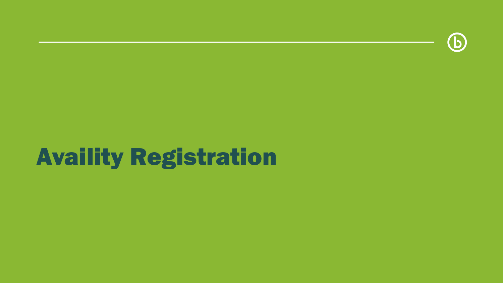

## Availity Registration